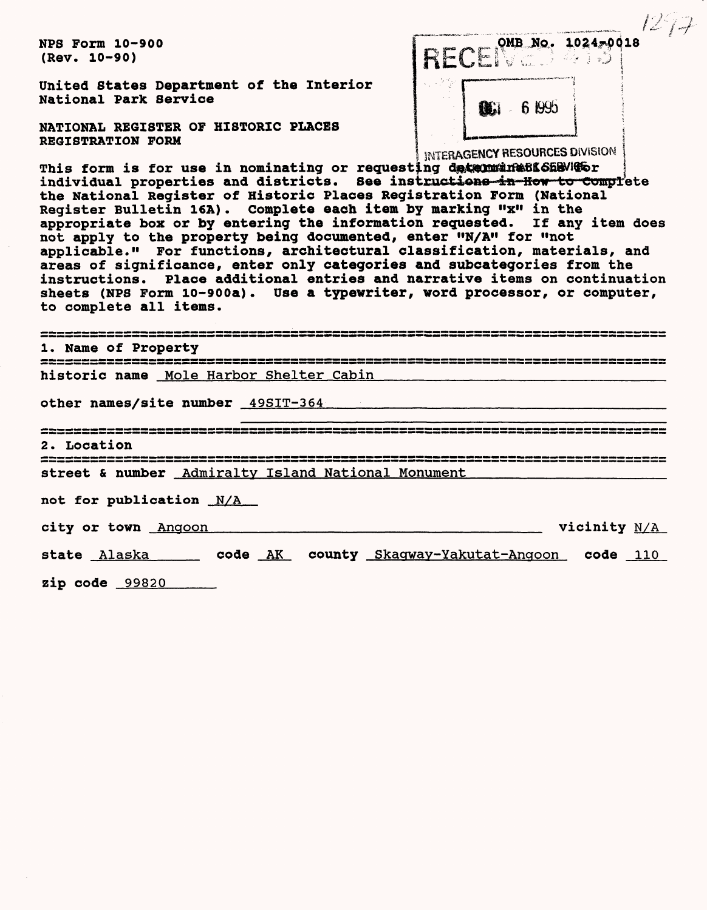NPS Form 10-900 (Rev. 10-90)

United States Department of the Interior National Park Service

NATIONAL REGISTER OF HISTORIC PLACES REGISTRATION FORM

|  | ΜB.<br>Žγ.<br>地质染色<br>ेंदर्        | 1024 | 18 <br>$\sim$ $\sim$ |
|--|------------------------------------|------|----------------------|
|  | $-6.1995$                          |      |                      |
|  | <b>ERAGENCY RESOURCES DIVISION</b> |      |                      |

 $1277$ 

**This form is for use in nominating or requesting**  individual properties and districts. See instructions in How to Complete the National Register of Historic Places Registration Form (National Register Bulletin 16A) . Complete each item by marking "x" in the appropriate box or by entering the information requested. If any item does not apply to the property being documented, enter "N/A" for "not applicable." For functions, architectural classification, materials, and areas of significance, enter only categories and subcategories from the instructions. Place additional entries and narrative items on continuation sheets (NPS Form I0-900a) . Use a typewriter, word processor, or computer, to complete all items.

| 1. Name of Property                                                   |
|-----------------------------------------------------------------------|
| historic name Mole Harbor Shelter Cabin                               |
| other names/site number 49SIT-364                                     |
| 2. Location                                                           |
| street & number Admiralty Island National Monument                    |
| not for publication N/A                                               |
| vicinity N/A<br>city or town Angoon                                   |
| code AK county Skaqway-Yakutat-Angoon code 110<br><b>state</b> Alaska |
|                                                                       |

**zip code** 99820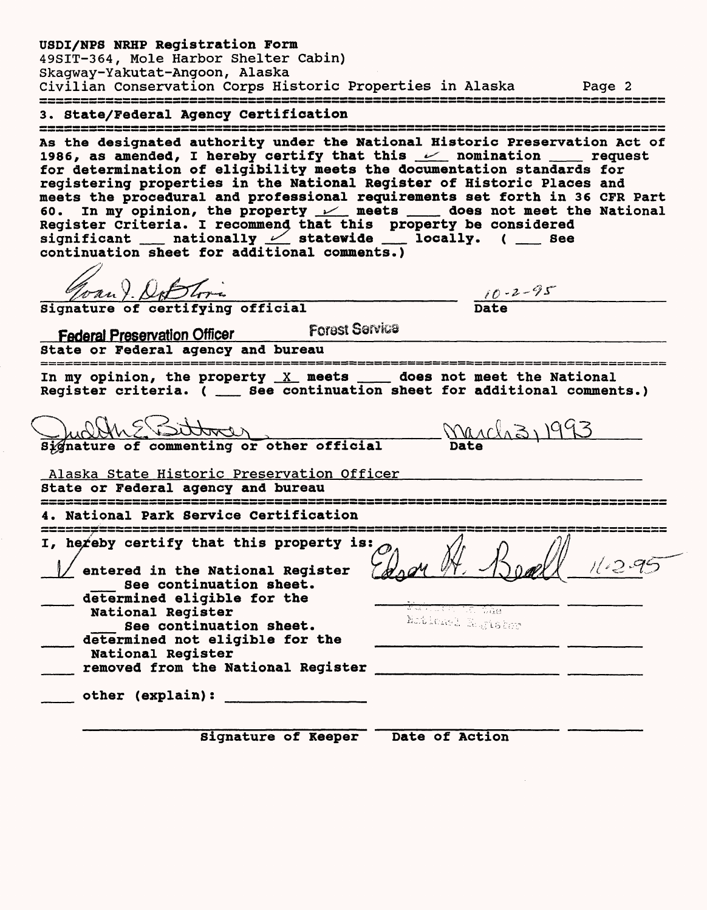| USDI/NPS NRHP Registration Form<br>49SIT-364, Mole Harbor Shelter Cabin)<br>Skaqway-Yakutat-Angoon, Alaska<br>Civilian Conservation Corps Historic Properties in Alaska Bage 2                                                                                                                                                                                                                                                                                                                                                                                                                                                                                                                   |                                                                                                              |
|--------------------------------------------------------------------------------------------------------------------------------------------------------------------------------------------------------------------------------------------------------------------------------------------------------------------------------------------------------------------------------------------------------------------------------------------------------------------------------------------------------------------------------------------------------------------------------------------------------------------------------------------------------------------------------------------------|--------------------------------------------------------------------------------------------------------------|
| 3. State/Federal Agency Certification                                                                                                                                                                                                                                                                                                                                                                                                                                                                                                                                                                                                                                                            | <u> 2010 M 2012 M 2012 M 2012 M 2012 M 2012 M 2012 M 2012 M 2012 M 2012 M 2012 M 2012 M 2012 M 2012 M 20</u> |
| As the designated authority under the National Historic Preservation Act of<br>1986, as amended, I hereby certify that this $\swarrow$ nomination _____ request<br>for determination of eligibility meets the documentation standards for<br>registering properties in the National Register of Historic Places and<br>meets the procedural and professional requirements set forth in 36 CFR Part<br>60. In my opinion, the property $\angle$ meets ____ does not meet the National<br>Register Criteria. I recommend that this property be considered<br>significant ___ nationally $\angle$ statewide __ locally. ( __ See<br>continuation sheet for additional comments.)<br>Joan J. Dobtori |                                                                                                              |
| Signature of certifying official                                                                                                                                                                                                                                                                                                                                                                                                                                                                                                                                                                                                                                                                 | $rac{10 - 2 - 95}{\text{Date}}$                                                                              |
| <b>Forest Service</b><br><b>Federal Preservation Officer</b><br>State or Federal agency and bureau<br>In my opinion, the property $X$ meets $\frac{1}{x}$ does not meet the National                                                                                                                                                                                                                                                                                                                                                                                                                                                                                                             |                                                                                                              |
| Register criteria. ( __ See continuation sheet for additional comments.)<br>Bignature of commenting or other official<br>Alaska State Historic Preservation Officer<br>State or Federal agency and bureau                                                                                                                                                                                                                                                                                                                                                                                                                                                                                        | Mucleon 1993                                                                                                 |
| 4. National Park Service Certification                                                                                                                                                                                                                                                                                                                                                                                                                                                                                                                                                                                                                                                           |                                                                                                              |
| I, hereby certify that this property is: $\curvearrowright$<br>entered in the National Register<br>See continuation sheet.<br>determined eligible for the<br>National Register<br>See continuation sheet.<br>determined not eligible for the<br>National Register<br>removed from the National Register<br>other (explain):<br><b>Signature of Keeper</b>                                                                                                                                                                                                                                                                                                                                        | $\sqrt{2}$ $\wedge$<br>ਏਕਿਸਟਰਾਲ ਨਾਲ ਨਿੱਖਾ<br>National Eaglaber<br>Date of Action                             |
|                                                                                                                                                                                                                                                                                                                                                                                                                                                                                                                                                                                                                                                                                                  |                                                                                                              |

 $\label{eq:2.1} \frac{1}{\sqrt{2}}\int_{\mathbb{R}^3}\frac{1}{\sqrt{2}}\left(\frac{1}{\sqrt{2}}\right)^2\frac{1}{\sqrt{2}}\left(\frac{1}{\sqrt{2}}\right)^2\frac{1}{\sqrt{2}}\left(\frac{1}{\sqrt{2}}\right)^2\frac{1}{\sqrt{2}}\left(\frac{1}{\sqrt{2}}\right)^2\frac{1}{\sqrt{2}}\left(\frac{1}{\sqrt{2}}\right)^2.$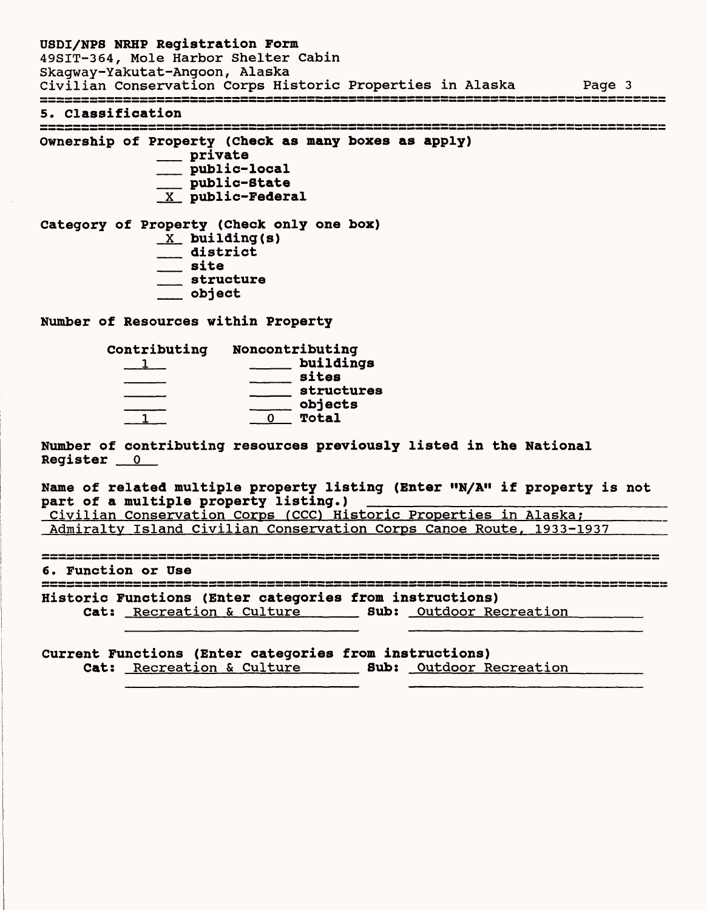USDI/NPS NRHP Registration Form 49SIT-364, Mole Harbor Shelter Cabin Skagway-Yakutat-Angoon, Alaska Civilian Conservation Corps Historic Properties in Alaska Page 3 5. Classification Ownership of Property (Check as many boxes as apply) \_\_ private \_\_ public-local \_\_ public-State X public-Federal

Category of Property (Check only one box)

- $X$  building(s)
- \_\_ district
- \_\_ site
- \_\_ structure
- \_\_ object

Number of Resources within Property

| <b>Contributing</b> | Noncontributing  |
|---------------------|------------------|
|                     | buildings        |
|                     | sites            |
|                     | structures       |
|                     | objects<br>Total |
|                     |                  |

Number of contributing resources previously listed in the National Register 0

Name of related multiple property listing (Enter "N/A" if property is not part of a multiple property listing.)

| Civilian Conservation Corps (CCC) Historic Properties in Alaska; |  |                                                                     |
|------------------------------------------------------------------|--|---------------------------------------------------------------------|
|                                                                  |  | Admiralty Island Civilian Conservation Corps Canoe Route, 1933-1937 |

6. Function or Use

Historic Functions (Enter categories from instructions)

Cat: Recreation & Culture\_\_\_\_\_ Sub: Outdoor Recreation

Current Functions (Enter categories from instructions) Cat: Recreation & Culture\_\_\_\_\_ Sub: Outdoor Recreation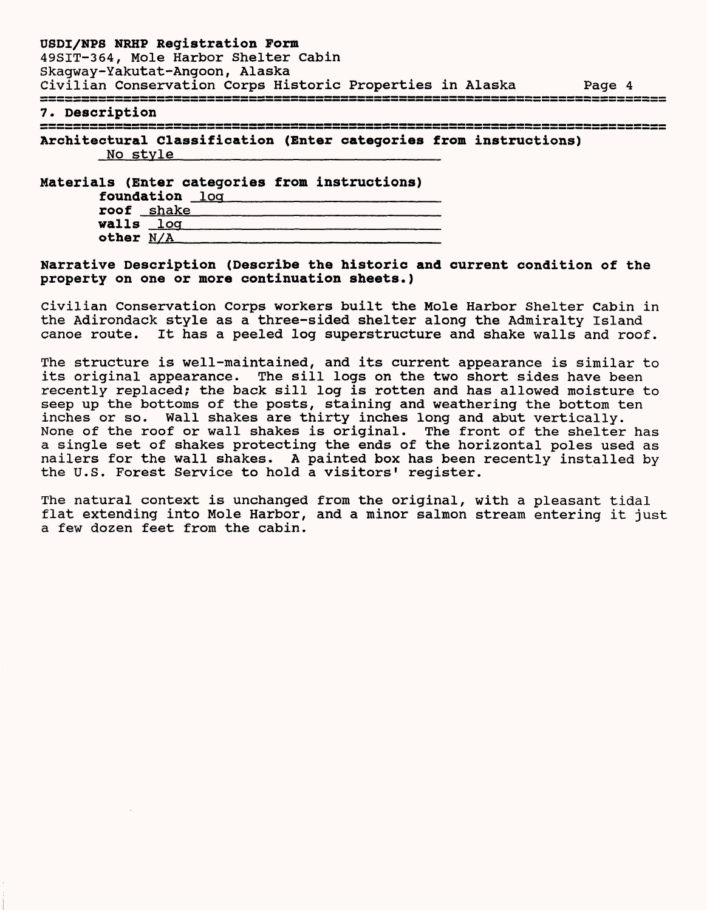| USDI/NPS NRHP Registration Form<br>49SIT-364, Mole Harbor Shelter Cabin<br>Skaqway-Yakutat-Angoon, Alaska<br>Civilian Conservation Corps Historic Properties in Alaska |  | Page 4 |  |
|------------------------------------------------------------------------------------------------------------------------------------------------------------------------|--|--------|--|
| 7. Description                                                                                                                                                         |  |        |  |
| Architectural Classification (Enter categories from instructions)<br>No style                                                                                          |  |        |  |
| Materials (Enter categories from instructions)<br>foundation log                                                                                                       |  |        |  |

|                  | roof shake |  |  |
|------------------|------------|--|--|
| <b>walls</b> log |            |  |  |
| other N/A        |            |  |  |

## Narrative Description (Describe the historic and current condition of the property on one or more continuation sheets.)

Civilian Conservation Corps workers built the Mole Harbor Shelter Cabin in the Adirondack style as a three-sided shelter along the Admiralty Island canoe route. It has a peeled log superstructure and shake walls and roof.

The structure is well-maintained, and its current appearance is similar to its original appearance. The sill logs on the two short sides have been recently replaced; the back sill log is rotten and has allowed moisture to seep up the bottoms of the posts, staining and weathering the bottom ten inches or so. Wall shakes are thirty inches long and abut vertically. None of the roof or wall shakes is original. The front of the shelter has a single set of shakes protecting the ends of the horizontal poles used as nailers for the wall shakes. A painted box has been recently installed by the U.S. Forest Service to hold a visitors' register.

The natural context is unchanged from the original, with a pleasant tidal flat extending into Mole Harbor, and a minor salmon stream entering it just a few dozen feet from the cabin.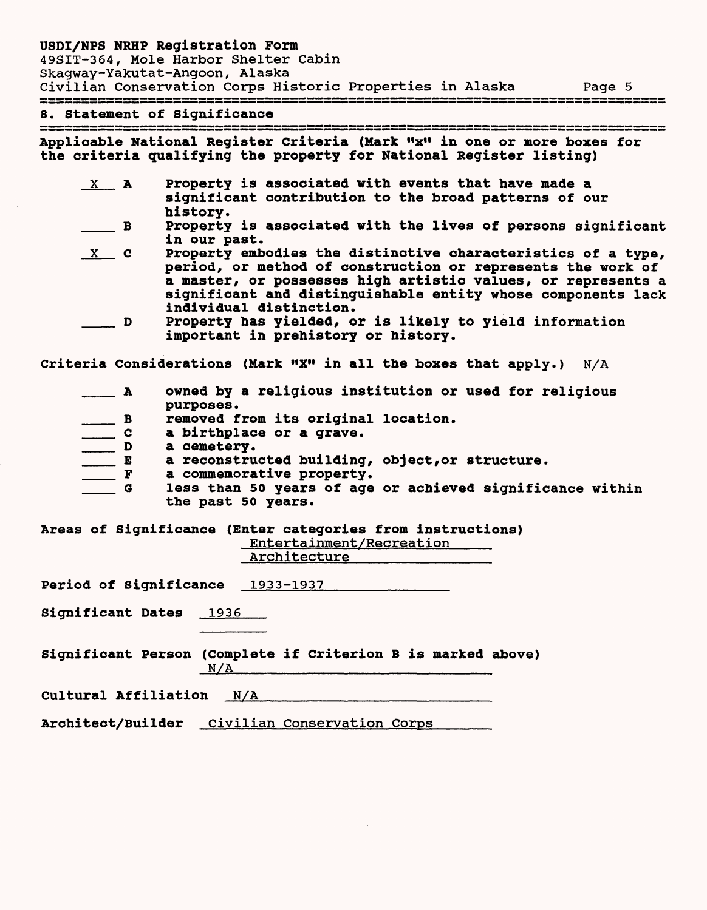|                                                                                                                                                                                                                                                                                                                                                                                                                                                                                                                                      | USDI/NPS NRHP Registration Form<br>49SIT-364, Mole Harbor Shelter Cabin<br>Skaqway-Yakutat-Angoon, Alaska<br>Civilian Conservation Corps Historic Properties in Alaska and Page 5                                                                                                                                                                                                                                                                               |
|--------------------------------------------------------------------------------------------------------------------------------------------------------------------------------------------------------------------------------------------------------------------------------------------------------------------------------------------------------------------------------------------------------------------------------------------------------------------------------------------------------------------------------------|-----------------------------------------------------------------------------------------------------------------------------------------------------------------------------------------------------------------------------------------------------------------------------------------------------------------------------------------------------------------------------------------------------------------------------------------------------------------|
|                                                                                                                                                                                                                                                                                                                                                                                                                                                                                                                                      | 8. Statement of Significance                                                                                                                                                                                                                                                                                                                                                                                                                                    |
|                                                                                                                                                                                                                                                                                                                                                                                                                                                                                                                                      | ے کہ ایک کا کہنا ہو کہ تو ایک ایک لینڈ کا کہنا ہو ہو اور ایک ایک بین دو کہ دو دع ہو ہو اور کہ دو اور ایک کہ با<br>دنیا کہ کم بلنا کہ اور کا ہو کہ اور ایک ایک ایک ایک وی دو بات کا باد وں وی ایک ہو ہو، ان دان کہ بلند کا بلند ک<br>Applicable National Register Criteria (Mark "x" in one or more boxes for<br>the criteria qualifying the property for National Register listing)                                                                             |
| $X$ $A$                                                                                                                                                                                                                                                                                                                                                                                                                                                                                                                              | Property is associated with events that have made a<br>significant contribution to the broad patterns of our<br>history.                                                                                                                                                                                                                                                                                                                                        |
| $\overline{\phantom{a}}$ B                                                                                                                                                                                                                                                                                                                                                                                                                                                                                                           | Property is associated with the lives of persons significant<br>in our past.                                                                                                                                                                                                                                                                                                                                                                                    |
| $X$ $C$                                                                                                                                                                                                                                                                                                                                                                                                                                                                                                                              | Property embodies the distinctive characteristics of a type,<br>period, or method of construction or represents the work of<br>a master, or possesses high artistic values, or represents a<br>significant and distinguishable entity whose components lack<br>individual distinction.                                                                                                                                                                          |
| D                                                                                                                                                                                                                                                                                                                                                                                                                                                                                                                                    | Property has yielded, or is likely to yield information<br>important in prehistory or history.                                                                                                                                                                                                                                                                                                                                                                  |
| $\overline{\phantom{a}}$ $\overline{\phantom{a}}$<br>$\frac{B}{2}$<br>$\frac{\sqrt{2}}{\sqrt{2}}$ $\frac{\sqrt{2}}{\sqrt{2}}$ $\frac{\sqrt{2}}{\sqrt{2}}$ $\frac{\sqrt{2}}{\sqrt{2}}$ $\frac{\sqrt{2}}{\sqrt{2}}$ $\frac{\sqrt{2}}{\sqrt{2}}$ $\frac{\sqrt{2}}{\sqrt{2}}$ $\frac{\sqrt{2}}{\sqrt{2}}$ $\frac{\sqrt{2}}{\sqrt{2}}$ $\frac{\sqrt{2}}{\sqrt{2}}$ $\frac{\sqrt{2}}{\sqrt{2}}$ $\frac{\sqrt{2}}{\sqrt{2}}$ $\frac{\sqrt{2}}{\sqrt{2}}$ $\frac{\sqrt{2}}{\sqrt{2}}$ $\frac{\sqrt{2}}{\sqrt{$<br>$\overline{\phantom{a}}$ G | Criteria Considerations (Mark "X" in all the boxes that apply.) $N/A$<br>owned by a religious institution or used for religious<br>purposes.<br>removed from its original location.<br>a birthplace or a grave.<br>a cemetery.<br>a reconstructed building, object, or structure.<br>a commemorative property.<br>less than 50 years of age or achieved significance within<br>the past 50 years.<br>Areas of Significance (Enter categories from instructions) |
|                                                                                                                                                                                                                                                                                                                                                                                                                                                                                                                                      | Entertainment/Recreation<br>Architecture Paragona                                                                                                                                                                                                                                                                                                                                                                                                               |
|                                                                                                                                                                                                                                                                                                                                                                                                                                                                                                                                      | Period of Significance 1933-1937                                                                                                                                                                                                                                                                                                                                                                                                                                |
| Significant Dates 1936                                                                                                                                                                                                                                                                                                                                                                                                                                                                                                               |                                                                                                                                                                                                                                                                                                                                                                                                                                                                 |
|                                                                                                                                                                                                                                                                                                                                                                                                                                                                                                                                      | Significant Person (Complete if Criterion B is marked above)<br>N/A                                                                                                                                                                                                                                                                                                                                                                                             |
|                                                                                                                                                                                                                                                                                                                                                                                                                                                                                                                                      | Cultural Affiliation N/A No. 2012 19:30                                                                                                                                                                                                                                                                                                                                                                                                                         |
|                                                                                                                                                                                                                                                                                                                                                                                                                                                                                                                                      | Architect/Builder Civilian Conservation Corps                                                                                                                                                                                                                                                                                                                                                                                                                   |

 $\label{eq:2.1} \frac{1}{\sqrt{2}}\left(\frac{1}{\sqrt{2}}\right)^{2} \left(\frac{1}{\sqrt{2}}\right)^{2} \left(\frac{1}{\sqrt{2}}\right)^{2} \left(\frac{1}{\sqrt{2}}\right)^{2} \left(\frac{1}{\sqrt{2}}\right)^{2} \left(\frac{1}{\sqrt{2}}\right)^{2} \left(\frac{1}{\sqrt{2}}\right)^{2} \left(\frac{1}{\sqrt{2}}\right)^{2} \left(\frac{1}{\sqrt{2}}\right)^{2} \left(\frac{1}{\sqrt{2}}\right)^{2} \left(\frac{1}{\sqrt{2}}\right)^{2} \left(\$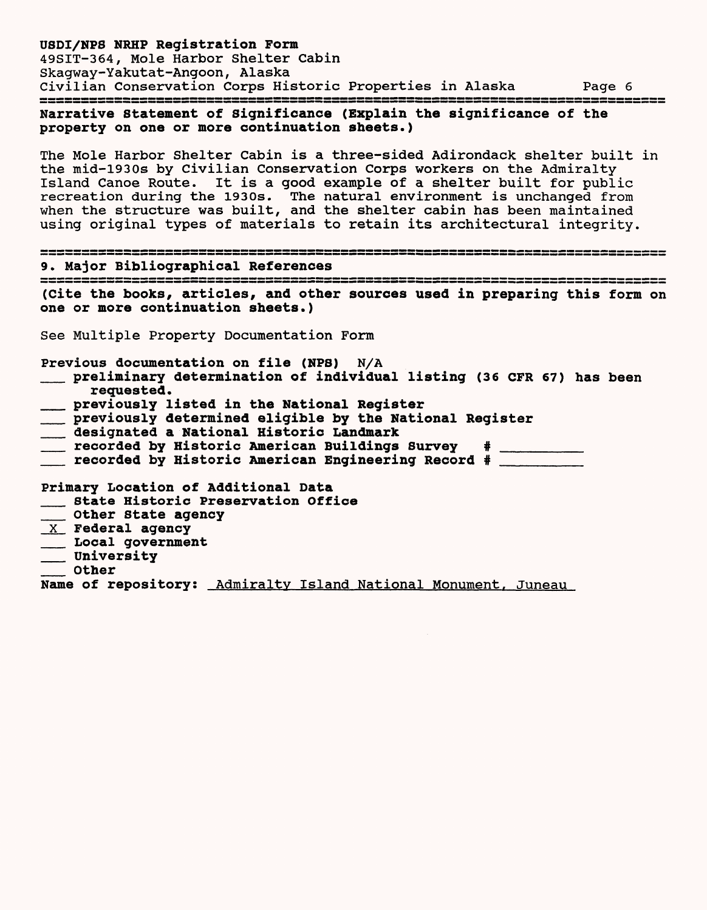| USDI/NPS NRHP Registration Form<br>49SIT-364, Mole Harbor Shelter Cabin<br>Skaqway-Yakutat-Angoon, Alaska<br>Civilian Conservation Corps Historic Properties in Alaska Bage 6                                                                                                                                                                                                                                                                                                                                                                                                 |
|-------------------------------------------------------------------------------------------------------------------------------------------------------------------------------------------------------------------------------------------------------------------------------------------------------------------------------------------------------------------------------------------------------------------------------------------------------------------------------------------------------------------------------------------------------------------------------|
| Narrative Statement of Significance (Explain the significance of the<br>property on one or more continuation sheets.)                                                                                                                                                                                                                                                                                                                                                                                                                                                         |
| The Mole Harbor Shelter Cabin is a three-sided Adirondack shelter built in<br>the mid-1930s by Civilian Conservation Corps workers on the Admiralty<br>Island Canoe Route. It is a good example of a shelter built for public<br>recreation during the 1930s. The natural environment is unchanged from<br>when the structure was built, and the shelter cabin has been maintained<br>using original types of materials to retain its architectural integrity.                                                                                                                |
| 9. Major Bibliographical References                                                                                                                                                                                                                                                                                                                                                                                                                                                                                                                                           |
| (Cite the books, articles, and other sources used in preparing this form on<br>one or more continuation sheets.)<br>See Multiple Property Documentation Form<br>Previous documentation on file (NPS) N/A<br>preliminary determination of individual listing (36 CFR 67) has been<br>requested.<br>__ previously listed in the National Register<br>__ previously determined eligible by the National Register<br>designated a National Historic Landmark<br>recorded by Historic American Buildings Survey<br>___ recorded by Historic American Engineering Record # ________ |
| Primary Location of Additional Data<br>State Historic Preservation Office<br><b>Other State agency</b><br>$X$ Federal agency<br>Local government<br>$\equiv$ University<br><b>Other</b><br>Name of repository: Admiralty Island National Monument, Juneau                                                                                                                                                                                                                                                                                                                     |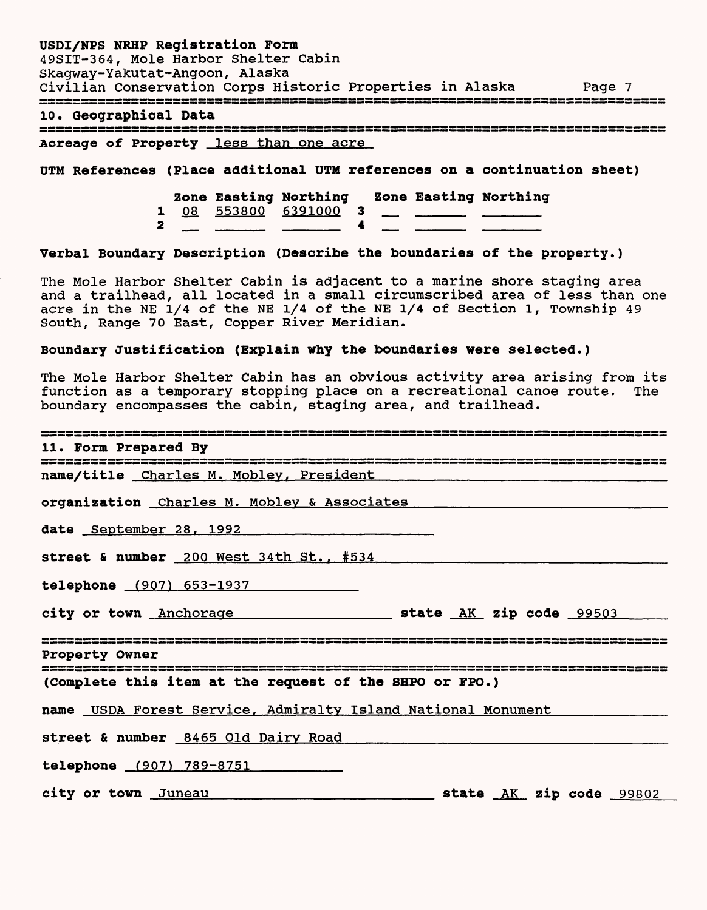| USDI/NPS NRHP Registration Form                           |        |
|-----------------------------------------------------------|--------|
| 49SIT-364, Mole Harbor Shelter Cabin                      |        |
| Skaqway-Yakutat-Angoon, Alaska                            |        |
| Civilian Conservation Corps Historic Properties in Alaska | Page 7 |
|                                                           |        |
| 10. Geographical Data                                     |        |

Acreage of Property less than one acre

UTM References (Place additional UTM references on a continuation sheet)

Zone Easting Northing Zone Easting Northing 1 08 553800 6391000 3 \_ \_\_\_\_\_ \_\_\_\_\_\_ 2 \_ \_\_\_\_\_ \_\_\_\_\_\_ 4 \_ \_\_\_\_\_ \_\_\_\_\_\_\_

Verbal Boundary Description (Describe the boundaries of the property.)

The Mole Harbor Shelter Cabin is adjacent to a marine shore staging area and a trailhead, all located in a small circumscribed area of less than one acre in the NE 1/4 of the NE 1/4 of the NE 1/4 of Section 1, Township 49 South, Range 70 East, Copper River Meridian.

## Boundary Justification (Explain why the boundaries were selected.)

The Mole Harbor Shelter Cabin has an obvious activity area arising from its function as a temporary stopping place on a recreational canoe route. The boundary encompasses the cabin, staging area, and trailhead.

11. Form Prepared By name/title Charles M. Mobley. President

organization Charles M. Mobley & Associates

date September 28, 1992

street & number 200 West 34th St., #534

telephone (907) 653-1937

city or town Anchorage \_\_\_\_\_\_\_\_\_\_\_\_\_\_\_ state AK zip code 99503

Property Owner

(Complete this item at the request of the 8HPO or FPO.)

name USDA Forest Service. Admiralty Island National Monument

street & number 8465 Old Dairy Road

telephone (907) 789-8751

city or town Juneau\_\_\_\_\_\_\_\_\_\_\_\_\_\_\_\_\_\_\_\_\_\_ state AK zip code 99802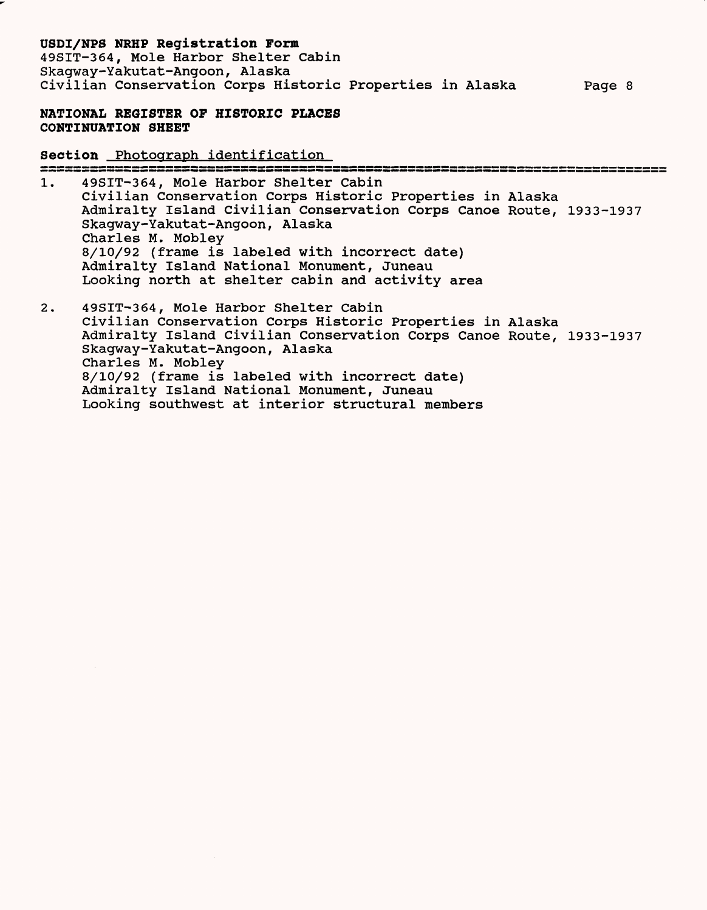49SIT-364, Mole Harbor Shelter Cabin Skagway-Yakutat-Angoon, Alaska Civilian Conservation Corps Historic Properties in Alaska Page 8

**NATIONAL REGISTER OF HISTORIC PLACES CONTINUATION SHEET**

Section Photograph identification

- ے کا کہنا ہے کہ بھی بھر بھی بھی بھر دی دی جو بھی ہوں ہیں پی اورز دی دی ہیں جو بھر بڑھ بڑھ کا 100 تک تو بھی کہ<br>سے سے سے سے سے سے بھر بھر سے بھر بڑھ دی جو جو جو بڑھ رہی جو بڑھ نہو گا؛ اُلو بڑھ نہوں کہ اللہ کو دی جو دی اپنا 49SIT-364, Mole Harbor Shelter Cabin  $1.$ Civilian Conservation Corps Historic Properties in Alaska Admiralty Island Civilian Conservation Corps Canoe Route, 1933-1937 Skagway-Yakutat-Angoon, Alaska Charles M. Mobley 8/10/92 (frame is labeled with incorrect date) Admiralty Island National Monument, Juneau Looking north at shelter cabin and activity area
- 49SIT-364, Mole Harbor Shelter Cabin  $2.$ Civilian Conservation Corps Historic Properties in Alaska Admiralty Island Civilian Conservation Corps Canoe Route, 1933-1937 Skagway-Yakutat-Angoon, Alaska Charles M. Mobley 8/10/92 (frame is labeled with incorrect date) Admiralty Island National Monument, Juneau Looking southwest at interior structural members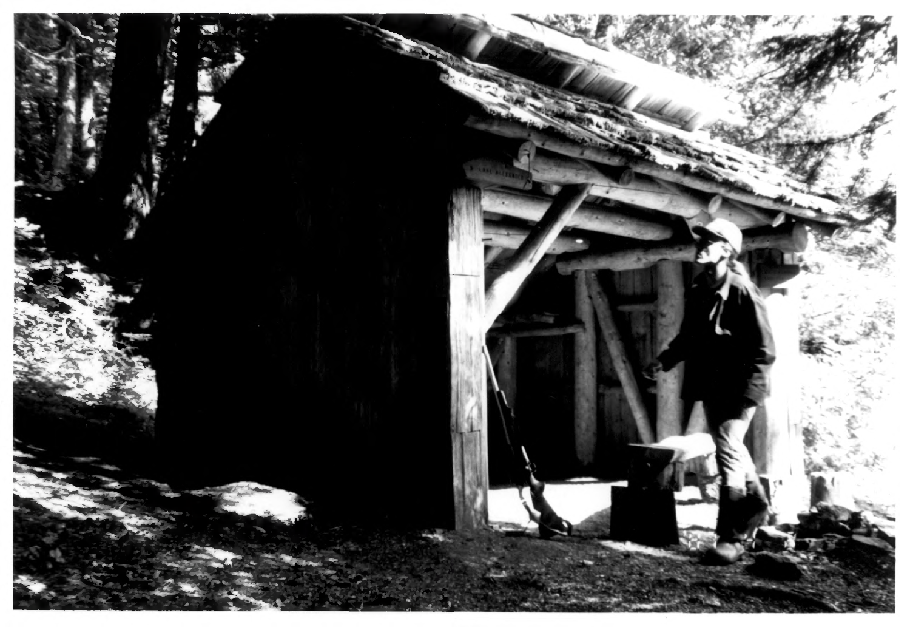